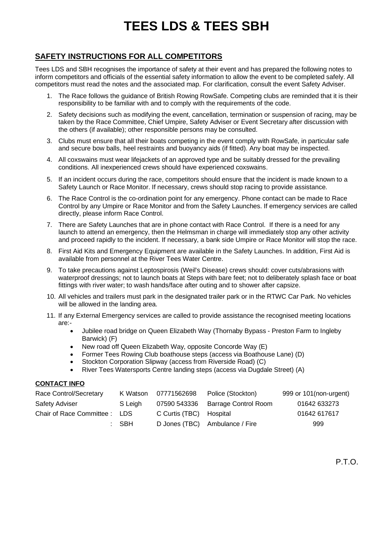## **TEES LDS & TEES SBH**

## **SAFETY INSTRUCTIONS FOR ALL COMPETITORS**

Tees LDS and SBH recognises the importance of safety at their event and has prepared the following notes to inform competitors and officials of the essential safety information to allow the event to be completed safely. All competitors must read the notes and the associated map. For clarification, consult the event Safety Adviser.

- 1. The Race follows the guidance of British Rowing RowSafe. Competing clubs are reminded that it is their responsibility to be familiar with and to comply with the requirements of the code.
- 2. Safety decisions such as modifying the event, cancellation, termination or suspension of racing, may be taken by the Race Committee, Chief Umpire, Safety Adviser or Event Secretary after discussion with the others (if available); other responsible persons may be consulted.
- 3. Clubs must ensure that all their boats competing in the event comply with RowSafe, in particular safe and secure bow balls, heel restraints and buoyancy aids (if fitted). Any boat may be inspected.
- 4. All coxswains must wear lifejackets of an approved type and be suitably dressed for the prevailing conditions. All inexperienced crews should have experienced coxswains.
- 5. If an incident occurs during the race, competitors should ensure that the incident is made known to a Safety Launch or Race Monitor. If necessary, crews should stop racing to provide assistance.
- 6. The Race Control is the co-ordination point for any emergency. Phone contact can be made to Race Control by any Umpire or Race Monitor and from the Safety Launches. If emergency services are called directly, please inform Race Control.
- 7. There are Safety Launches that are in phone contact with Race Control. If there is a need for any launch to attend an emergency, then the Helmsman in charge will immediately stop any other activity and proceed rapidly to the incident. If necessary, a bank side Umpire or Race Monitor will stop the race.
- 8. First Aid Kits and Emergency Equipment are available in the Safety Launches. In addition, First Aid is available from personnel at the River Tees Water Centre.
- 9. To take precautions against Leptospirosis (Weil's Disease) crews should: cover cuts/abrasions with waterproof dressings; not to launch boats at Steps with bare feet; not to deliberately splash face or boat fittings with river water; to wash hands/face after outing and to shower after capsize.
- 10. All vehicles and trailers must park in the designated trailer park or in the RTWC Car Park. No vehicles will be allowed in the landing area.
- 11. If any External Emergency services are called to provide assistance the recognised meeting locations are:-
	- Jubilee road bridge on Queen Elizabeth Way (Thornaby Bypass Preston Farm to Ingleby Barwick) (F)
	- New road off Queen Elizabeth Way, opposite Concorde Way (E)
	- Former Tees Rowing Club boathouse steps (access via Boathouse Lane) (D)
	- Stockton Corporation Slipway (access from Riverside Road) (C)
	- River Tees Watersports Centre landing steps (access via Dugdale Street) (A)

## **CONTACT INFO**

| Race Control/Secretary        | K Watson | 07771562698             | Police (Stockton)              | 999 or 101(non-urgent) |
|-------------------------------|----------|-------------------------|--------------------------------|------------------------|
| Safety Adviser                | S Leigh  | 07590 543336            | <b>Barrage Control Room</b>    | 01642 633273           |
| Chair of Race Committee : LDS |          | C Curtis (TBC) Hospital |                                | 01642 617617           |
|                               | : SBH    |                         | D Jones (TBC) Ambulance / Fire | 999                    |

P.T.O.